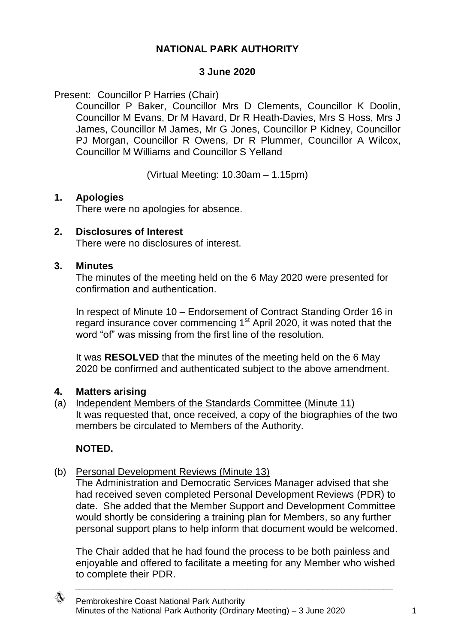# **NATIONAL PARK AUTHORITY**

### **3 June 2020**

Present: Councillor P Harries (Chair)

Councillor P Baker, Councillor Mrs D Clements, Councillor K Doolin, Councillor M Evans, Dr M Havard, Dr R Heath-Davies, Mrs S Hoss, Mrs J James, Councillor M James, Mr G Jones, Councillor P Kidney, Councillor PJ Morgan, Councillor R Owens, Dr R Plummer, Councillor A Wilcox, Councillor M Williams and Councillor S Yelland

(Virtual Meeting: 10.30am – 1.15pm)

### **1. Apologies**

There were no apologies for absence.

### **2. Disclosures of Interest**

There were no disclosures of interest.

### **3. Minutes**

The minutes of the meeting held on the 6 May 2020 were presented for confirmation and authentication.

In respect of Minute 10 – Endorsement of Contract Standing Order 16 in regard insurance cover commencing 1<sup>st</sup> April 2020, it was noted that the word "of" was missing from the first line of the resolution.

It was **RESOLVED** that the minutes of the meeting held on the 6 May 2020 be confirmed and authenticated subject to the above amendment.

## **4. Matters arising**

(a) Independent Members of the Standards Committee (Minute 11) It was requested that, once received, a copy of the biographies of the two members be circulated to Members of the Authority.

## **NOTED.**

## (b) Personal Development Reviews (Minute 13)

The Administration and Democratic Services Manager advised that she had received seven completed Personal Development Reviews (PDR) to date. She added that the Member Support and Development Committee would shortly be considering a training plan for Members, so any further personal support plans to help inform that document would be welcomed.

The Chair added that he had found the process to be both painless and enjoyable and offered to facilitate a meeting for any Member who wished to complete their PDR.

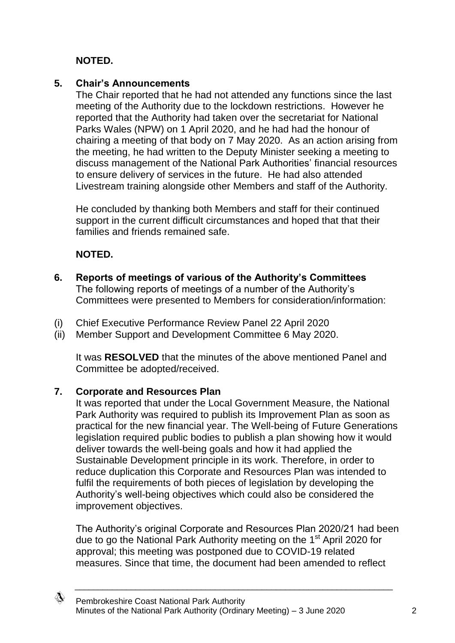# **NOTED.**

## **5. Chair's Announcements**

The Chair reported that he had not attended any functions since the last meeting of the Authority due to the lockdown restrictions. However he reported that the Authority had taken over the secretariat for National Parks Wales (NPW) on 1 April 2020, and he had had the honour of chairing a meeting of that body on 7 May 2020. As an action arising from the meeting, he had written to the Deputy Minister seeking a meeting to discuss management of the National Park Authorities' financial resources to ensure delivery of services in the future. He had also attended Livestream training alongside other Members and staff of the Authority.

He concluded by thanking both Members and staff for their continued support in the current difficult circumstances and hoped that that their families and friends remained safe.

# **NOTED.**

- **6. Reports of meetings of various of the Authority's Committees** The following reports of meetings of a number of the Authority's Committees were presented to Members for consideration/information:
- (i) Chief Executive Performance Review Panel 22 April 2020
- (ii) Member Support and Development Committee 6 May 2020.

It was **RESOLVED** that the minutes of the above mentioned Panel and Committee be adopted/received.

# **7. Corporate and Resources Plan**

It was reported that under the Local Government Measure, the National Park Authority was required to publish its Improvement Plan as soon as practical for the new financial year. The Well-being of Future Generations legislation required public bodies to publish a plan showing how it would deliver towards the well-being goals and how it had applied the Sustainable Development principle in its work. Therefore, in order to reduce duplication this Corporate and Resources Plan was intended to fulfil the requirements of both pieces of legislation by developing the Authority's well-being objectives which could also be considered the improvement objectives.

The Authority's original Corporate and Resources Plan 2020/21 had been due to go the National Park Authority meeting on the 1<sup>st</sup> April 2020 for approval; this meeting was postponed due to COVID-19 related measures. Since that time, the document had been amended to reflect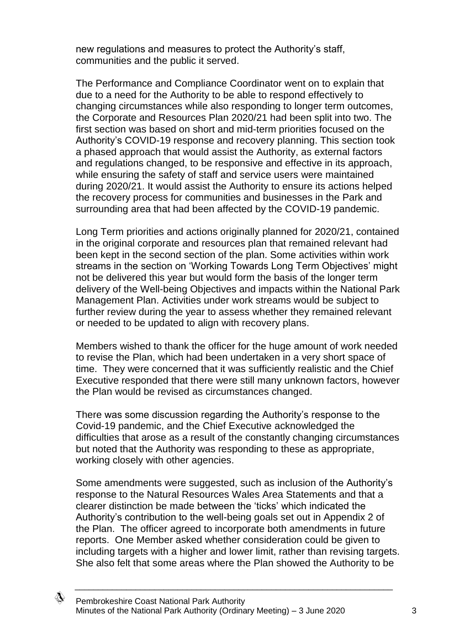new regulations and measures to protect the Authority's staff, communities and the public it served.

The Performance and Compliance Coordinator went on to explain that due to a need for the Authority to be able to respond effectively to changing circumstances while also responding to longer term outcomes, the Corporate and Resources Plan 2020/21 had been split into two. The first section was based on short and mid-term priorities focused on the Authority's COVID-19 response and recovery planning. This section took a phased approach that would assist the Authority, as external factors and regulations changed, to be responsive and effective in its approach, while ensuring the safety of staff and service users were maintained during 2020/21. It would assist the Authority to ensure its actions helped the recovery process for communities and businesses in the Park and surrounding area that had been affected by the COVID-19 pandemic.

Long Term priorities and actions originally planned for 2020/21, contained in the original corporate and resources plan that remained relevant had been kept in the second section of the plan. Some activities within work streams in the section on 'Working Towards Long Term Objectives' might not be delivered this year but would form the basis of the longer term delivery of the Well-being Objectives and impacts within the National Park Management Plan. Activities under work streams would be subject to further review during the year to assess whether they remained relevant or needed to be updated to align with recovery plans.

Members wished to thank the officer for the huge amount of work needed to revise the Plan, which had been undertaken in a very short space of time. They were concerned that it was sufficiently realistic and the Chief Executive responded that there were still many unknown factors, however the Plan would be revised as circumstances changed.

There was some discussion regarding the Authority's response to the Covid-19 pandemic, and the Chief Executive acknowledged the difficulties that arose as a result of the constantly changing circumstances but noted that the Authority was responding to these as appropriate, working closely with other agencies.

Some amendments were suggested, such as inclusion of the Authority's response to the Natural Resources Wales Area Statements and that a clearer distinction be made between the 'ticks' which indicated the Authority's contribution to the well-being goals set out in Appendix 2 of the Plan. The officer agreed to incorporate both amendments in future reports. One Member asked whether consideration could be given to including targets with a higher and lower limit, rather than revising targets. She also felt that some areas where the Plan showed the Authority to be

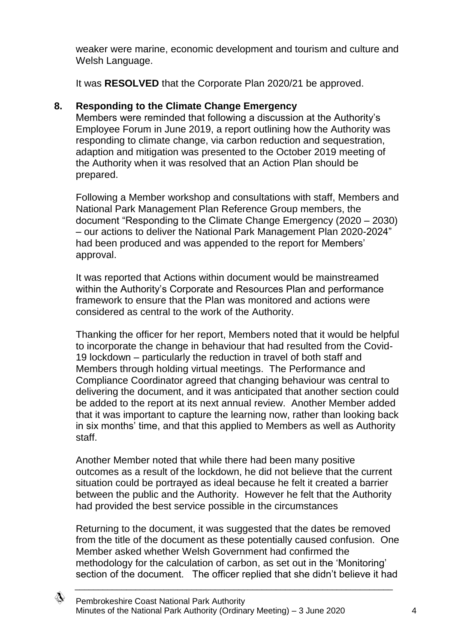weaker were marine, economic development and tourism and culture and Welsh Language.

It was **RESOLVED** that the Corporate Plan 2020/21 be approved.

# **8. Responding to the Climate Change Emergency**

Members were reminded that following a discussion at the Authority's Employee Forum in June 2019, a report outlining how the Authority was responding to climate change, via carbon reduction and sequestration, adaption and mitigation was presented to the October 2019 meeting of the Authority when it was resolved that an Action Plan should be prepared.

Following a Member workshop and consultations with staff, Members and National Park Management Plan Reference Group members, the document "Responding to the Climate Change Emergency (2020 – 2030) – our actions to deliver the National Park Management Plan 2020-2024" had been produced and was appended to the report for Members' approval.

It was reported that Actions within document would be mainstreamed within the Authority's Corporate and Resources Plan and performance framework to ensure that the Plan was monitored and actions were considered as central to the work of the Authority.

Thanking the officer for her report, Members noted that it would be helpful to incorporate the change in behaviour that had resulted from the Covid-19 lockdown – particularly the reduction in travel of both staff and Members through holding virtual meetings. The Performance and Compliance Coordinator agreed that changing behaviour was central to delivering the document, and it was anticipated that another section could be added to the report at its next annual review. Another Member added that it was important to capture the learning now, rather than looking back in six months' time, and that this applied to Members as well as Authority staff.

Another Member noted that while there had been many positive outcomes as a result of the lockdown, he did not believe that the current situation could be portrayed as ideal because he felt it created a barrier between the public and the Authority. However he felt that the Authority had provided the best service possible in the circumstances

Returning to the document, it was suggested that the dates be removed from the title of the document as these potentially caused confusion. One Member asked whether Welsh Government had confirmed the methodology for the calculation of carbon, as set out in the 'Monitoring' section of the document. The officer replied that she didn't believe it had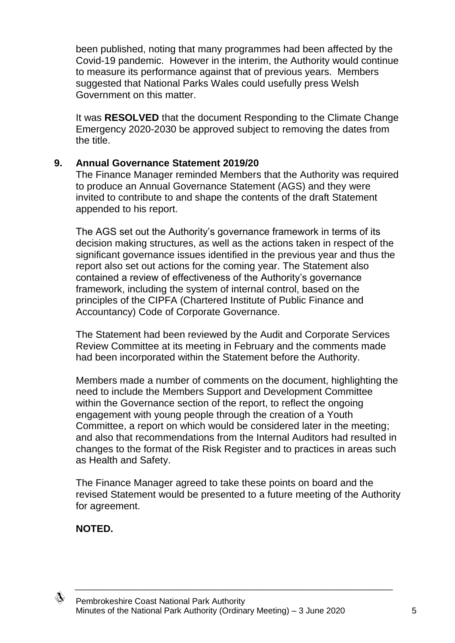been published, noting that many programmes had been affected by the Covid-19 pandemic. However in the interim, the Authority would continue to measure its performance against that of previous years. Members suggested that National Parks Wales could usefully press Welsh Government on this matter.

It was **RESOLVED** that the document Responding to the Climate Change Emergency 2020-2030 be approved subject to removing the dates from the title.

## **9. Annual Governance Statement 2019/20**

The Finance Manager reminded Members that the Authority was required to produce an Annual Governance Statement (AGS) and they were invited to contribute to and shape the contents of the draft Statement appended to his report.

The AGS set out the Authority's governance framework in terms of its decision making structures, as well as the actions taken in respect of the significant governance issues identified in the previous year and thus the report also set out actions for the coming year. The Statement also contained a review of effectiveness of the Authority's governance framework, including the system of internal control, based on the principles of the CIPFA (Chartered Institute of Public Finance and Accountancy) Code of Corporate Governance.

The Statement had been reviewed by the Audit and Corporate Services Review Committee at its meeting in February and the comments made had been incorporated within the Statement before the Authority.

Members made a number of comments on the document, highlighting the need to include the Members Support and Development Committee within the Governance section of the report, to reflect the ongoing engagement with young people through the creation of a Youth Committee, a report on which would be considered later in the meeting; and also that recommendations from the Internal Auditors had resulted in changes to the format of the Risk Register and to practices in areas such as Health and Safety.

The Finance Manager agreed to take these points on board and the revised Statement would be presented to a future meeting of the Authority for agreement.

\_\_\_\_\_\_\_\_\_\_\_\_\_\_\_\_\_\_\_\_\_\_\_\_\_\_\_\_\_\_\_\_\_\_\_\_\_\_\_\_\_\_\_\_\_\_\_\_\_\_\_\_\_\_\_\_\_\_\_\_\_\_\_\_\_\_\_\_

**NOTED.**

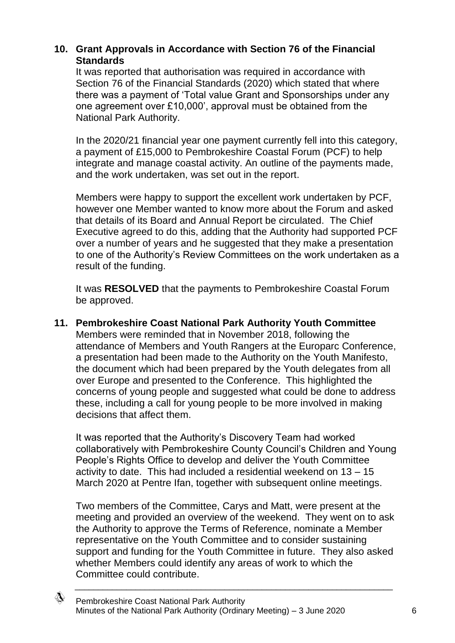# **10. Grant Approvals in Accordance with Section 76 of the Financial Standards**

It was reported that authorisation was required in accordance with Section 76 of the Financial Standards (2020) which stated that where there was a payment of 'Total value Grant and Sponsorships under any one agreement over £10,000', approval must be obtained from the National Park Authority.

In the 2020/21 financial year one payment currently fell into this category, a payment of £15,000 to Pembrokeshire Coastal Forum (PCF) to help integrate and manage coastal activity. An outline of the payments made, and the work undertaken, was set out in the report.

Members were happy to support the excellent work undertaken by PCF, however one Member wanted to know more about the Forum and asked that details of its Board and Annual Report be circulated. The Chief Executive agreed to do this, adding that the Authority had supported PCF over a number of years and he suggested that they make a presentation to one of the Authority's Review Committees on the work undertaken as a result of the funding.

It was **RESOLVED** that the payments to Pembrokeshire Coastal Forum be approved.

**11. Pembrokeshire Coast National Park Authority Youth Committee** Members were reminded that in November 2018, following the attendance of Members and Youth Rangers at the Europarc Conference, a presentation had been made to the Authority on the Youth Manifesto, the document which had been prepared by the Youth delegates from all over Europe and presented to the Conference. This highlighted the concerns of young people and suggested what could be done to address these, including a call for young people to be more involved in making decisions that affect them.

It was reported that the Authority's Discovery Team had worked collaboratively with Pembrokeshire County Council's Children and Young People's Rights Office to develop and deliver the Youth Committee activity to date. This had included a residential weekend on 13 – 15 March 2020 at Pentre Ifan, together with subsequent online meetings.

Two members of the Committee, Carys and Matt, were present at the meeting and provided an overview of the weekend. They went on to ask the Authority to approve the Terms of Reference, nominate a Member representative on the Youth Committee and to consider sustaining support and funding for the Youth Committee in future. They also asked whether Members could identify any areas of work to which the Committee could contribute.

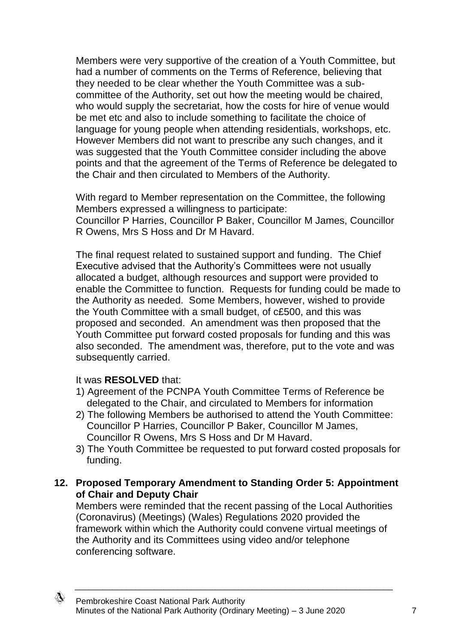Members were very supportive of the creation of a Youth Committee, but had a number of comments on the Terms of Reference, believing that they needed to be clear whether the Youth Committee was a subcommittee of the Authority, set out how the meeting would be chaired, who would supply the secretariat, how the costs for hire of venue would be met etc and also to include something to facilitate the choice of language for young people when attending residentials, workshops, etc. However Members did not want to prescribe any such changes, and it was suggested that the Youth Committee consider including the above points and that the agreement of the Terms of Reference be delegated to the Chair and then circulated to Members of the Authority.

With regard to Member representation on the Committee, the following Members expressed a willingness to participate: Councillor P Harries, Councillor P Baker, Councillor M James, Councillor R Owens, Mrs S Hoss and Dr M Havard.

The final request related to sustained support and funding. The Chief Executive advised that the Authority's Committees were not usually allocated a budget, although resources and support were provided to enable the Committee to function. Requests for funding could be made to the Authority as needed. Some Members, however, wished to provide the Youth Committee with a small budget, of c£500, and this was proposed and seconded. An amendment was then proposed that the Youth Committee put forward costed proposals for funding and this was also seconded. The amendment was, therefore, put to the vote and was subsequently carried.

## It was **RESOLVED** that:

- 1) Agreement of the PCNPA Youth Committee Terms of Reference be delegated to the Chair, and circulated to Members for information
- 2) The following Members be authorised to attend the Youth Committee: Councillor P Harries, Councillor P Baker, Councillor M James, Councillor R Owens, Mrs S Hoss and Dr M Havard.
- 3) The Youth Committee be requested to put forward costed proposals for funding.
- **12. Proposed Temporary Amendment to Standing Order 5: Appointment of Chair and Deputy Chair**

Members were reminded that the recent passing of the Local Authorities (Coronavirus) (Meetings) (Wales) Regulations 2020 provided the framework within which the Authority could convene virtual meetings of the Authority and its Committees using video and/or telephone conferencing software.

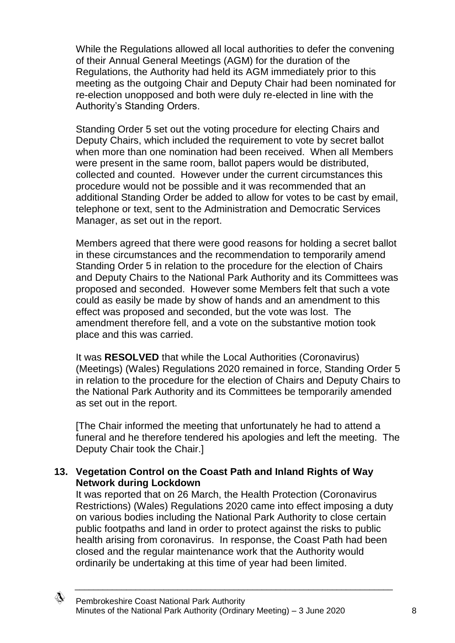While the Regulations allowed all local authorities to defer the convening of their Annual General Meetings (AGM) for the duration of the Regulations, the Authority had held its AGM immediately prior to this meeting as the outgoing Chair and Deputy Chair had been nominated for re-election unopposed and both were duly re-elected in line with the Authority's Standing Orders.

Standing Order 5 set out the voting procedure for electing Chairs and Deputy Chairs, which included the requirement to vote by secret ballot when more than one nomination had been received. When all Members were present in the same room, ballot papers would be distributed, collected and counted. However under the current circumstances this procedure would not be possible and it was recommended that an additional Standing Order be added to allow for votes to be cast by email, telephone or text, sent to the Administration and Democratic Services Manager, as set out in the report.

Members agreed that there were good reasons for holding a secret ballot in these circumstances and the recommendation to temporarily amend Standing Order 5 in relation to the procedure for the election of Chairs and Deputy Chairs to the National Park Authority and its Committees was proposed and seconded. However some Members felt that such a vote could as easily be made by show of hands and an amendment to this effect was proposed and seconded, but the vote was lost. The amendment therefore fell, and a vote on the substantive motion took place and this was carried.

It was **RESOLVED** that while the Local Authorities (Coronavirus) (Meetings) (Wales) Regulations 2020 remained in force, Standing Order 5 in relation to the procedure for the election of Chairs and Deputy Chairs to the National Park Authority and its Committees be temporarily amended as set out in the report.

[The Chair informed the meeting that unfortunately he had to attend a funeral and he therefore tendered his apologies and left the meeting. The Deputy Chair took the Chair.]

## **13. Vegetation Control on the Coast Path and Inland Rights of Way Network during Lockdown**

It was reported that on 26 March, the Health Protection (Coronavirus Restrictions) (Wales) Regulations 2020 came into effect imposing a duty on various bodies including the National Park Authority to close certain public footpaths and land in order to protect against the risks to public health arising from coronavirus. In response, the Coast Path had been closed and the regular maintenance work that the Authority would ordinarily be undertaking at this time of year had been limited.